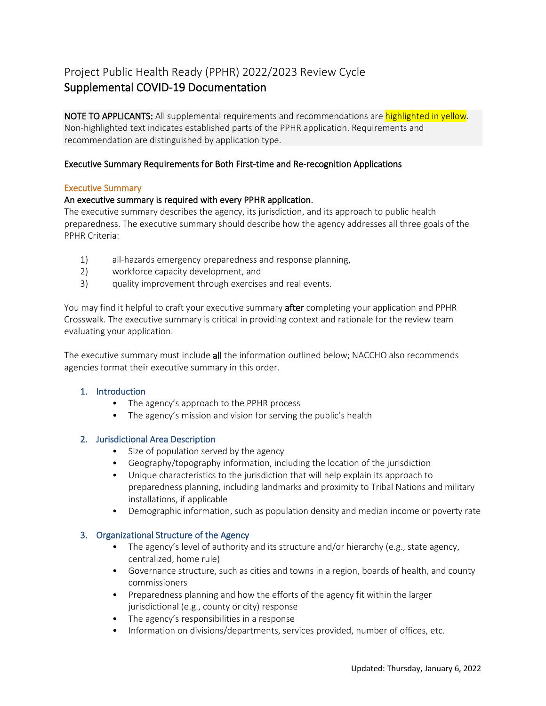# Project Public Health Ready (PPHR) 2022/2023 Review Cycle Supplemental COVID-19 Documentation

NOTE TO APPLICANTS: All supplemental requirements and recommendations are highlighted in yellow. Non-highlighted text indicates established parts of the PPHR application. Requirements and recommendation are distinguished by application type.

### Executive Summary Requirements for Both First-time and Re-recognition Applications

#### Executive Summary

#### An executive summary is required with every PPHR application.

The executive summary describes the agency, its jurisdiction, and its approach to public health preparedness. The executive summary should describe how the agency addresses all three goals of the PPHR Criteria:

- 1) all-hazards emergency preparedness and response planning,
- 2) workforce capacity development, and
- 3) quality improvement through exercises and real events.

You may find it helpful to craft your executive summary **after** completing your application and PPHR Crosswalk. The executive summary is critical in providing context and rationale for the review team evaluating your application.

The executive summary must include all the information outlined below; NACCHO also recommends agencies format their executive summary in this order.

#### 1. Introduction

- The agency's approach to the PPHR process
- The agency's mission and vision for serving the public's health

#### 2. Jurisdictional Area Description

- Size of population served by the agency
- Geography/topography information, including the location of the jurisdiction
- Unique characteristics to the jurisdiction that will help explain its approach to preparedness planning, including landmarks and proximity to Tribal Nations and military installations, if applicable
- Demographic information, such as population density and median income or poverty rate

#### 3. Organizational Structure of the Agency

- The agency's level of authority and its structure and/or hierarchy (e.g., state agency, centralized, home rule)
- Governance structure, such as cities and towns in a region, boards of health, and county commissioners
- Preparedness planning and how the efforts of the agency fit within the larger jurisdictional (e.g., county or city) response
- The agency's responsibilities in a response
- Information on divisions/departments, services provided, number of offices, etc.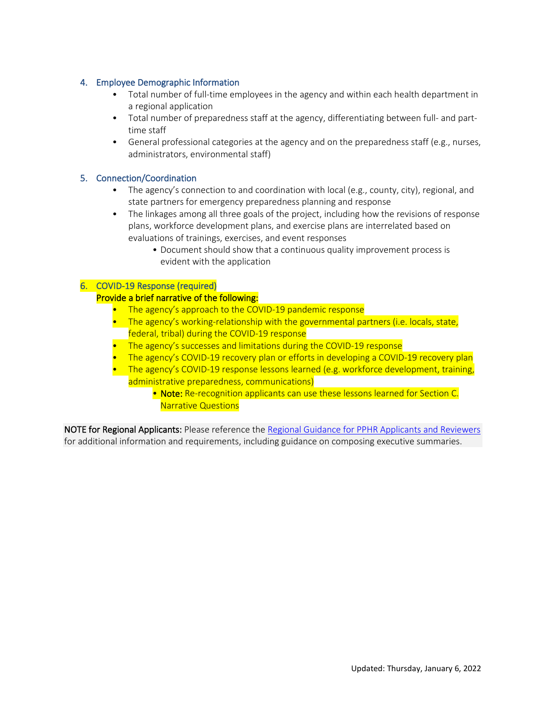## 4. Employee Demographic Information

- Total number of full-time employees in the agency and within each health department in a regional application
- Total number of preparedness staff at the agency, differentiating between full- and parttime staff
- General professional categories at the agency and on the preparedness staff (e.g., nurses, administrators, environmental staff)

# 5. Connection/Coordination

- The agency's connection to and coordination with local (e.g., county, city), regional, and state partners for emergency preparedness planning and response
- The linkages among all three goals of the project, including how the revisions of response plans, workforce development plans, and exercise plans are interrelated based on evaluations of trainings, exercises, and event responses
	- Document should show that a continuous quality improvement process is evident with the application

### 6. COVID-19 Response (required)

### Provide a brief narrative of the following:

- The agency's approach to the COVID-19 pandemic response
- The agency's working-relationship with the governmental partners (i.e. locals, state, federal, tribal) during the COVID-19 response
- The agency's successes and limitations during the COVID-19 response
- The agency's COVID-19 recovery plan or efforts in developing a COVID-19 recovery plan
- The agency's COVID-19 response lessons learned (e.g. workforce development, training, administrative preparedness, communications)
	- Note: Re-recognition applicants can use these lessons learned for Section C. Narrative Questions

NOTE for Regional Applicants: Please reference the [Regional Guidance for PPHR Applicants and Reviewers](https://nacchohq.sharepoint.com/:b:/s/SHRC/Ee2qhnujaz5KgtGnZ-3xnLEBP-SALd3Tulgsu6ogixgFDA?e=5pUbbf) for additional information and requirements, including guidance on composing executive summaries.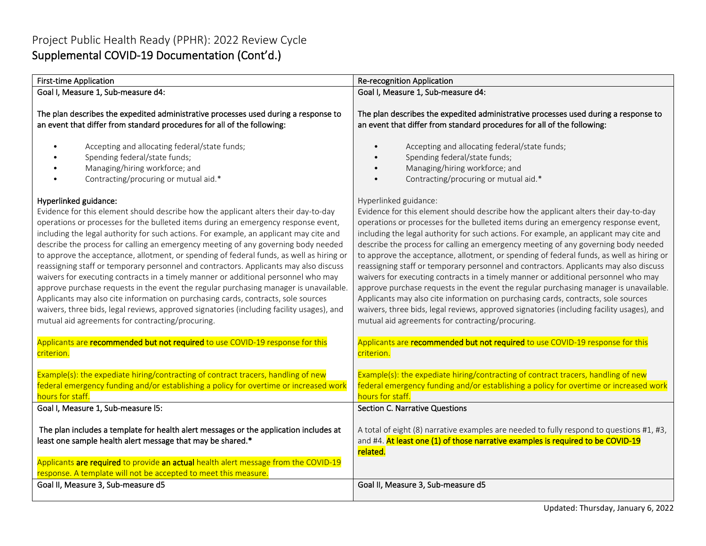# Project Public Health Ready (PPHR): 2022 Review Cycle Supplemental COVID-19 Documentation (Cont'd.)

| <b>First-time Application</b>                                                                                                                                                                                                                                                                                                                                                                                                                                                                                                                                                                                                                                                                                                                                                                                                                                                                                                                                                                | <b>Re-recognition Application</b>                                                                                                                                                                                                                                                                                                                                                                                                                                                                                                                                                                                                                                                                                                                                                                                                                                                                                                                                                            |
|----------------------------------------------------------------------------------------------------------------------------------------------------------------------------------------------------------------------------------------------------------------------------------------------------------------------------------------------------------------------------------------------------------------------------------------------------------------------------------------------------------------------------------------------------------------------------------------------------------------------------------------------------------------------------------------------------------------------------------------------------------------------------------------------------------------------------------------------------------------------------------------------------------------------------------------------------------------------------------------------|----------------------------------------------------------------------------------------------------------------------------------------------------------------------------------------------------------------------------------------------------------------------------------------------------------------------------------------------------------------------------------------------------------------------------------------------------------------------------------------------------------------------------------------------------------------------------------------------------------------------------------------------------------------------------------------------------------------------------------------------------------------------------------------------------------------------------------------------------------------------------------------------------------------------------------------------------------------------------------------------|
| Goal I, Measure 1, Sub-measure d4:                                                                                                                                                                                                                                                                                                                                                                                                                                                                                                                                                                                                                                                                                                                                                                                                                                                                                                                                                           | Goal I, Measure 1, Sub-measure d4:                                                                                                                                                                                                                                                                                                                                                                                                                                                                                                                                                                                                                                                                                                                                                                                                                                                                                                                                                           |
| The plan describes the expedited administrative processes used during a response to<br>an event that differ from standard procedures for all of the following:<br>Accepting and allocating federal/state funds;<br>Spending federal/state funds;<br>Managing/hiring workforce; and<br>Contracting/procuring or mutual aid.*                                                                                                                                                                                                                                                                                                                                                                                                                                                                                                                                                                                                                                                                  | The plan describes the expedited administrative processes used during a response to<br>an event that differ from standard procedures for all of the following:<br>Accepting and allocating federal/state funds;<br>Spending federal/state funds;<br>Managing/hiring workforce; and<br>Contracting/procuring or mutual aid.*                                                                                                                                                                                                                                                                                                                                                                                                                                                                                                                                                                                                                                                                  |
| Hyperlinked guidance:<br>Evidence for this element should describe how the applicant alters their day-to-day<br>operations or processes for the bulleted items during an emergency response event,<br>including the legal authority for such actions. For example, an applicant may cite and<br>describe the process for calling an emergency meeting of any governing body needed<br>to approve the acceptance, allotment, or spending of federal funds, as well as hiring or<br>reassigning staff or temporary personnel and contractors. Applicants may also discuss<br>waivers for executing contracts in a timely manner or additional personnel who may<br>approve purchase requests in the event the regular purchasing manager is unavailable.<br>Applicants may also cite information on purchasing cards, contracts, sole sources<br>waivers, three bids, legal reviews, approved signatories (including facility usages), and<br>mutual aid agreements for contracting/procuring. | Hyperlinked guidance:<br>Evidence for this element should describe how the applicant alters their day-to-day<br>operations or processes for the bulleted items during an emergency response event,<br>including the legal authority for such actions. For example, an applicant may cite and<br>describe the process for calling an emergency meeting of any governing body needed<br>to approve the acceptance, allotment, or spending of federal funds, as well as hiring or<br>reassigning staff or temporary personnel and contractors. Applicants may also discuss<br>waivers for executing contracts in a timely manner or additional personnel who may<br>approve purchase requests in the event the regular purchasing manager is unavailable.<br>Applicants may also cite information on purchasing cards, contracts, sole sources<br>waivers, three bids, legal reviews, approved signatories (including facility usages), and<br>mutual aid agreements for contracting/procuring. |
| Applicants are recommended but not required to use COVID-19 response for this<br>criterion.                                                                                                                                                                                                                                                                                                                                                                                                                                                                                                                                                                                                                                                                                                                                                                                                                                                                                                  | Applicants are recommended but not required to use COVID-19 response for this<br>criterion.                                                                                                                                                                                                                                                                                                                                                                                                                                                                                                                                                                                                                                                                                                                                                                                                                                                                                                  |
| Example(s): the expediate hiring/contracting of contract tracers, handling of new<br>federal emergency funding and/or establishing a policy for overtime or increased work<br>hours for staff.                                                                                                                                                                                                                                                                                                                                                                                                                                                                                                                                                                                                                                                                                                                                                                                               | Example(s): the expediate hiring/contracting of contract tracers, handling of new<br>federal emergency funding and/or establishing a policy for overtime or increased work<br>hours for staff.                                                                                                                                                                                                                                                                                                                                                                                                                                                                                                                                                                                                                                                                                                                                                                                               |
| Goal I, Measure 1, Sub-measure I5:                                                                                                                                                                                                                                                                                                                                                                                                                                                                                                                                                                                                                                                                                                                                                                                                                                                                                                                                                           | <b>Section C. Narrative Questions</b>                                                                                                                                                                                                                                                                                                                                                                                                                                                                                                                                                                                                                                                                                                                                                                                                                                                                                                                                                        |
| The plan includes a template for health alert messages or the application includes at<br>least one sample health alert message that may be shared.*<br>Applicants are required to provide an actual health alert message from the COVID-19<br>response. A template will not be accepted to meet this measure.                                                                                                                                                                                                                                                                                                                                                                                                                                                                                                                                                                                                                                                                                | A total of eight (8) narrative examples are needed to fully respond to questions #1, #3,<br>and #4. At least one (1) of those narrative examples is required to be COVID-19<br>related.                                                                                                                                                                                                                                                                                                                                                                                                                                                                                                                                                                                                                                                                                                                                                                                                      |
| Goal II, Measure 3, Sub-measure d5                                                                                                                                                                                                                                                                                                                                                                                                                                                                                                                                                                                                                                                                                                                                                                                                                                                                                                                                                           | Goal II, Measure 3, Sub-measure d5                                                                                                                                                                                                                                                                                                                                                                                                                                                                                                                                                                                                                                                                                                                                                                                                                                                                                                                                                           |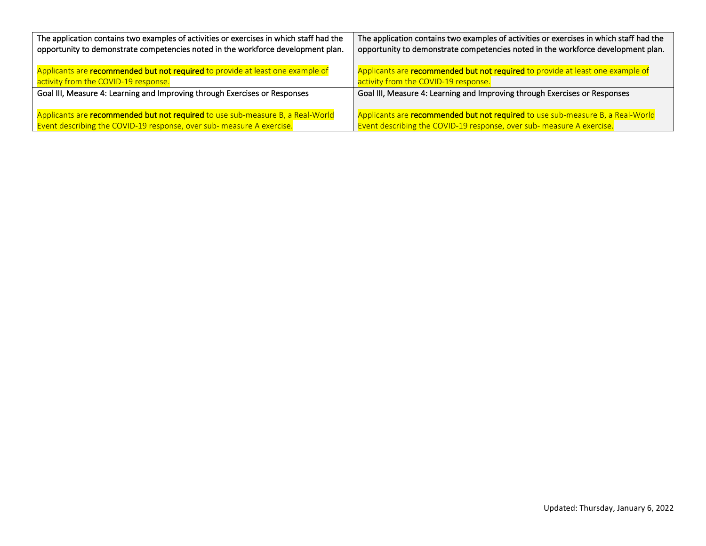| The application contains two examples of activities or exercises in which staff had the | The application contains two examples of activities or exercises in which staff had the |
|-----------------------------------------------------------------------------------------|-----------------------------------------------------------------------------------------|
| opportunity to demonstrate competencies noted in the workforce development plan.        | opportunity to demonstrate competencies noted in the workforce development plan.        |
| Applicants are recommended but not required to provide at least one example of          | Applicants are recommended but not required to provide at least one example of          |
| activity from the COVID-19 response.                                                    | activity from the COVID-19 response.                                                    |
| Goal III, Measure 4: Learning and Improving through Exercises or Responses              | Goal III, Measure 4: Learning and Improving through Exercises or Responses              |
| Applicants are recommended but not required to use sub-measure B, a Real-World          | Applicants are recommended but not required to use sub-measure B, a Real-World          |
| Event describing the COVID-19 response, over sub- measure A exercise.                   | Event describing the COVID-19 response, over sub- measure A exercise.                   |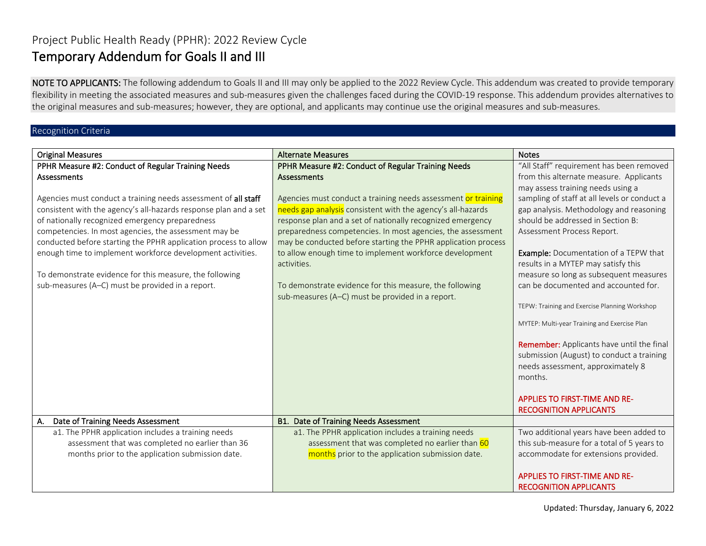# Project Public Health Ready (PPHR): 2022 Review Cycle Temporary Addendum for Goals II and III

NOTE TO APPLICANTS: The following addendum to Goals II and III may only be applied to the 2022 Review Cycle. This addendum was created to provide temporary flexibility in meeting the associated measures and sub-measures given the challenges faced during the COVID-19 response. This addendum provides alternatives to the original measures and sub-measures; however, they are optional, and applicants may continue use the original measures and sub-measures.

## Recognition Criteria

| <b>Original Measures</b>                                         | <b>Alternate Measures</b>                                     | <b>Notes</b>                                                                                                                                  |
|------------------------------------------------------------------|---------------------------------------------------------------|-----------------------------------------------------------------------------------------------------------------------------------------------|
| PPHR Measure #2: Conduct of Regular Training Needs               | PPHR Measure #2: Conduct of Regular Training Needs            | "All Staff" requirement has been removed                                                                                                      |
| <b>Assessments</b>                                               | <b>Assessments</b>                                            | from this alternate measure. Applicants                                                                                                       |
|                                                                  |                                                               | may assess training needs using a                                                                                                             |
| Agencies must conduct a training needs assessment of all staff   | Agencies must conduct a training needs assessment or training | sampling of staff at all levels or conduct a                                                                                                  |
| consistent with the agency's all-hazards response plan and a set | needs gap analysis consistent with the agency's all-hazards   | gap analysis. Methodology and reasoning                                                                                                       |
| of nationally recognized emergency preparedness                  | response plan and a set of nationally recognized emergency    | should be addressed in Section B:                                                                                                             |
| competencies. In most agencies, the assessment may be            | preparedness competencies. In most agencies, the assessment   | Assessment Process Report.                                                                                                                    |
| conducted before starting the PPHR application process to allow  | may be conducted before starting the PPHR application process |                                                                                                                                               |
| enough time to implement workforce development activities.       | to allow enough time to implement workforce development       | <b>Example:</b> Documentation of a TEPW that                                                                                                  |
|                                                                  | activities.                                                   | results in a MYTEP may satisfy this                                                                                                           |
| To demonstrate evidence for this measure, the following          |                                                               | measure so long as subsequent measures                                                                                                        |
| sub-measures (A-C) must be provided in a report.                 | To demonstrate evidence for this measure, the following       | can be documented and accounted for.                                                                                                          |
|                                                                  | sub-measures (A-C) must be provided in a report.              |                                                                                                                                               |
|                                                                  |                                                               | TEPW: Training and Exercise Planning Workshop                                                                                                 |
|                                                                  |                                                               | MYTEP: Multi-year Training and Exercise Plan                                                                                                  |
|                                                                  |                                                               | <b>Remember:</b> Applicants have until the final<br>submission (August) to conduct a training<br>needs assessment, approximately 8<br>months. |
|                                                                  |                                                               | <b>APPLIES TO FIRST-TIME AND RE-</b><br><b>RECOGNITION APPLICANTS</b>                                                                         |
| Date of Training Needs Assessment<br>A.                          | <b>B1. Date of Training Needs Assessment</b>                  |                                                                                                                                               |
| a1. The PPHR application includes a training needs               | a1. The PPHR application includes a training needs            | Two additional years have been added to                                                                                                       |
| assessment that was completed no earlier than 36                 | assessment that was completed no earlier than 60              | this sub-measure for a total of 5 years to                                                                                                    |
| months prior to the application submission date.                 | months prior to the application submission date.              | accommodate for extensions provided.                                                                                                          |
|                                                                  |                                                               | <b>APPLIES TO FIRST-TIME AND RE-</b><br><b>RECOGNITION APPLICANTS</b>                                                                         |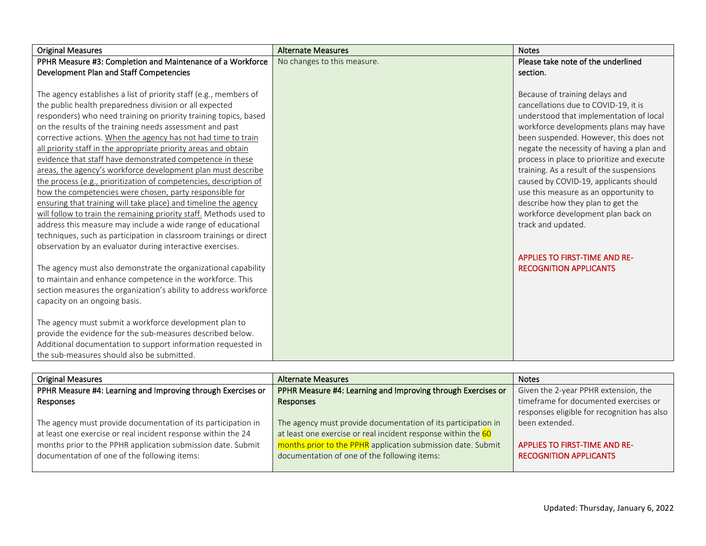| <b>Original Measures</b>                                           | <b>Alternate Measures</b>   | <b>Notes</b>                               |
|--------------------------------------------------------------------|-----------------------------|--------------------------------------------|
| PPHR Measure #3: Completion and Maintenance of a Workforce         | No changes to this measure. | Please take note of the underlined         |
| Development Plan and Staff Competencies                            |                             | section.                                   |
|                                                                    |                             |                                            |
| The agency establishes a list of priority staff (e.g., members of  |                             | Because of training delays and             |
| the public health preparedness division or all expected            |                             | cancellations due to COVID-19, it is       |
| responders) who need training on priority training topics, based   |                             | understood that implementation of local    |
| on the results of the training needs assessment and past           |                             | workforce developments plans may have      |
| corrective actions. When the agency has not had time to train      |                             | been suspended. However, this does not     |
| all priority staff in the appropriate priority areas and obtain    |                             | negate the necessity of having a plan and  |
| evidence that staff have demonstrated competence in these          |                             | process in place to prioritize and execute |
| areas, the agency's workforce development plan must describe       |                             | training. As a result of the suspensions   |
| the process (e.g., prioritization of competencies, description of  |                             | caused by COVID-19, applicants should      |
| how the competencies were chosen, party responsible for            |                             | use this measure as an opportunity to      |
| ensuring that training will take place) and timeline the agency    |                             | describe how they plan to get the          |
| will follow to train the remaining priority staff. Methods used to |                             | workforce development plan back on         |
| address this measure may include a wide range of educational       |                             | track and updated.                         |
| techniques, such as participation in classroom trainings or direct |                             |                                            |
| observation by an evaluator during interactive exercises.          |                             |                                            |
|                                                                    |                             | <b>APPLIES TO FIRST-TIME AND RE-</b>       |
| The agency must also demonstrate the organizational capability     |                             | <b>RECOGNITION APPLICANTS</b>              |
| to maintain and enhance competence in the workforce. This          |                             |                                            |
| section measures the organization's ability to address workforce   |                             |                                            |
| capacity on an ongoing basis.                                      |                             |                                            |
|                                                                    |                             |                                            |
| The agency must submit a workforce development plan to             |                             |                                            |
| provide the evidence for the sub-measures described below.         |                             |                                            |
| Additional documentation to support information requested in       |                             |                                            |
| the sub-measures should also be submitted.                         |                             |                                            |

| <b>Original Measures</b>                                      | <b>Alternate Measures</b>                                     | <b>Notes</b>                                |
|---------------------------------------------------------------|---------------------------------------------------------------|---------------------------------------------|
| PPHR Measure #4: Learning and Improving through Exercises or  | PPHR Measure #4: Learning and Improving through Exercises or  | Given the 2-year PPHR extension, the        |
| Responses                                                     | Responses                                                     | timeframe for documented exercises or       |
|                                                               |                                                               | responses eligible for recognition has also |
| The agency must provide documentation of its participation in | The agency must provide documentation of its participation in | been extended.                              |
| at least one exercise or real incident response within the 24 | at least one exercise or real incident response within the 60 |                                             |
| months prior to the PPHR application submission date. Submit  | months prior to the PPHR application submission date. Submit  | <b>APPLIES TO FIRST-TIME AND RE-</b>        |
| documentation of one of the following items:                  | documentation of one of the following items:                  | <b>RECOGNITION APPLICANTS</b>               |
|                                                               |                                                               |                                             |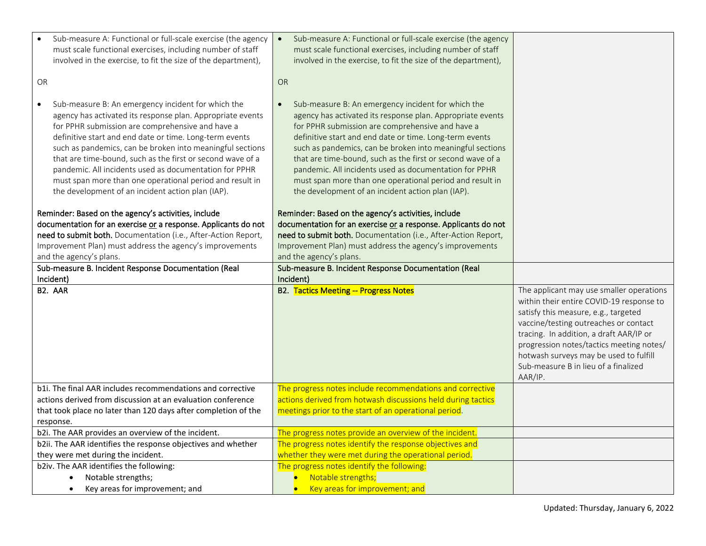| Sub-measure A: Functional or full-scale exercise (the agency<br>must scale functional exercises, including number of staff<br>involved in the exercise, to fit the size of the department),<br>OR                                                                                                                                                                                                                                                                                                                                                  | Sub-measure A: Functional or full-scale exercise (the agency<br>$\bullet$<br>must scale functional exercises, including number of staff<br>involved in the exercise, to fit the size of the department),<br>OR                                                                                                                                                                                                                                                                                                                                     |                                                                                                                                                                                                                                                                                                                                                           |
|----------------------------------------------------------------------------------------------------------------------------------------------------------------------------------------------------------------------------------------------------------------------------------------------------------------------------------------------------------------------------------------------------------------------------------------------------------------------------------------------------------------------------------------------------|----------------------------------------------------------------------------------------------------------------------------------------------------------------------------------------------------------------------------------------------------------------------------------------------------------------------------------------------------------------------------------------------------------------------------------------------------------------------------------------------------------------------------------------------------|-----------------------------------------------------------------------------------------------------------------------------------------------------------------------------------------------------------------------------------------------------------------------------------------------------------------------------------------------------------|
| Sub-measure B: An emergency incident for which the<br>$\bullet$<br>agency has activated its response plan. Appropriate events<br>for PPHR submission are comprehensive and have a<br>definitive start and end date or time. Long-term events<br>such as pandemics, can be broken into meaningful sections<br>that are time-bound, such as the first or second wave of a<br>pandemic. All incidents used as documentation for PPHR<br>must span more than one operational period and result in<br>the development of an incident action plan (IAP). | Sub-measure B: An emergency incident for which the<br>$\bullet$<br>agency has activated its response plan. Appropriate events<br>for PPHR submission are comprehensive and have a<br>definitive start and end date or time. Long-term events<br>such as pandemics, can be broken into meaningful sections<br>that are time-bound, such as the first or second wave of a<br>pandemic. All incidents used as documentation for PPHR<br>must span more than one operational period and result in<br>the development of an incident action plan (IAP). |                                                                                                                                                                                                                                                                                                                                                           |
| Reminder: Based on the agency's activities, include                                                                                                                                                                                                                                                                                                                                                                                                                                                                                                | Reminder: Based on the agency's activities, include                                                                                                                                                                                                                                                                                                                                                                                                                                                                                                |                                                                                                                                                                                                                                                                                                                                                           |
| documentation for an exercise or a response. Applicants do not                                                                                                                                                                                                                                                                                                                                                                                                                                                                                     | documentation for an exercise or a response. Applicants do not                                                                                                                                                                                                                                                                                                                                                                                                                                                                                     |                                                                                                                                                                                                                                                                                                                                                           |
| need to submit both. Documentation (i.e., After-Action Report,<br>Improvement Plan) must address the agency's improvements                                                                                                                                                                                                                                                                                                                                                                                                                         | need to submit both. Documentation (i.e., After-Action Report,<br>Improvement Plan) must address the agency's improvements                                                                                                                                                                                                                                                                                                                                                                                                                         |                                                                                                                                                                                                                                                                                                                                                           |
| and the agency's plans.                                                                                                                                                                                                                                                                                                                                                                                                                                                                                                                            | and the agency's plans.                                                                                                                                                                                                                                                                                                                                                                                                                                                                                                                            |                                                                                                                                                                                                                                                                                                                                                           |
| Sub-measure B. Incident Response Documentation (Real                                                                                                                                                                                                                                                                                                                                                                                                                                                                                               | Sub-measure B. Incident Response Documentation (Real                                                                                                                                                                                                                                                                                                                                                                                                                                                                                               |                                                                                                                                                                                                                                                                                                                                                           |
| Incident)                                                                                                                                                                                                                                                                                                                                                                                                                                                                                                                                          | Incident)                                                                                                                                                                                                                                                                                                                                                                                                                                                                                                                                          |                                                                                                                                                                                                                                                                                                                                                           |
| B2. AAR                                                                                                                                                                                                                                                                                                                                                                                                                                                                                                                                            | <b>B2. Tactics Meeting -- Progress Notes</b>                                                                                                                                                                                                                                                                                                                                                                                                                                                                                                       | The applicant may use smaller operations<br>within their entire COVID-19 response to<br>satisfy this measure, e.g., targeted<br>vaccine/testing outreaches or contact<br>tracing. In addition, a draft AAR/IP or<br>progression notes/tactics meeting notes/<br>hotwash surveys may be used to fulfill<br>Sub-measure B in lieu of a finalized<br>AAR/IP. |
| b1i. The final AAR includes recommendations and corrective                                                                                                                                                                                                                                                                                                                                                                                                                                                                                         | The progress notes include recommendations and corrective                                                                                                                                                                                                                                                                                                                                                                                                                                                                                          |                                                                                                                                                                                                                                                                                                                                                           |
| actions derived from discussion at an evaluation conference                                                                                                                                                                                                                                                                                                                                                                                                                                                                                        | actions derived from hotwash discussions held during tactics                                                                                                                                                                                                                                                                                                                                                                                                                                                                                       |                                                                                                                                                                                                                                                                                                                                                           |
| that took place no later than 120 days after completion of the                                                                                                                                                                                                                                                                                                                                                                                                                                                                                     | meetings prior to the start of an operational period.                                                                                                                                                                                                                                                                                                                                                                                                                                                                                              |                                                                                                                                                                                                                                                                                                                                                           |
| response.                                                                                                                                                                                                                                                                                                                                                                                                                                                                                                                                          |                                                                                                                                                                                                                                                                                                                                                                                                                                                                                                                                                    |                                                                                                                                                                                                                                                                                                                                                           |
| b2i. The AAR provides an overview of the incident.<br>b2ii. The AAR identifies the response objectives and whether                                                                                                                                                                                                                                                                                                                                                                                                                                 |                                                                                                                                                                                                                                                                                                                                                                                                                                                                                                                                                    |                                                                                                                                                                                                                                                                                                                                                           |
| they were met during the incident.                                                                                                                                                                                                                                                                                                                                                                                                                                                                                                                 | The progress notes provide an overview of the incident.                                                                                                                                                                                                                                                                                                                                                                                                                                                                                            |                                                                                                                                                                                                                                                                                                                                                           |
|                                                                                                                                                                                                                                                                                                                                                                                                                                                                                                                                                    | The progress notes identify the response objectives and                                                                                                                                                                                                                                                                                                                                                                                                                                                                                            |                                                                                                                                                                                                                                                                                                                                                           |
|                                                                                                                                                                                                                                                                                                                                                                                                                                                                                                                                                    | whether they were met during the operational period.                                                                                                                                                                                                                                                                                                                                                                                                                                                                                               |                                                                                                                                                                                                                                                                                                                                                           |
| b2iv. The AAR identifies the following:<br>Notable strengths;                                                                                                                                                                                                                                                                                                                                                                                                                                                                                      | The progress notes identify the following:<br>Notable strengths;                                                                                                                                                                                                                                                                                                                                                                                                                                                                                   |                                                                                                                                                                                                                                                                                                                                                           |